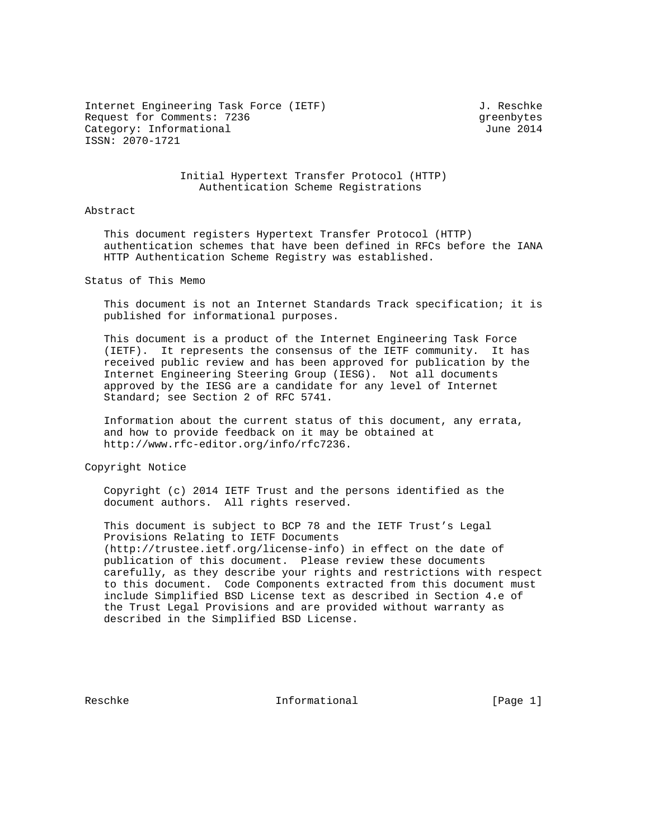Internet Engineering Task Force (IETF) 3. Reschke Request for Comments: 7236 Greenbytes and the state of the state of the state of the state of the state of the state of the state of the state of the state of the state of the state of the state of the state of the state o Category: Informational  $J$ une 2014 ISSN: 2070-1721

## Initial Hypertext Transfer Protocol (HTTP) Authentication Scheme Registrations

## Abstract

 This document registers Hypertext Transfer Protocol (HTTP) authentication schemes that have been defined in RFCs before the IANA HTTP Authentication Scheme Registry was established.

Status of This Memo

 This document is not an Internet Standards Track specification; it is published for informational purposes.

 This document is a product of the Internet Engineering Task Force (IETF). It represents the consensus of the IETF community. It has received public review and has been approved for publication by the Internet Engineering Steering Group (IESG). Not all documents approved by the IESG are a candidate for any level of Internet Standard; see Section 2 of RFC 5741.

 Information about the current status of this document, any errata, and how to provide feedback on it may be obtained at http://www.rfc-editor.org/info/rfc7236.

Copyright Notice

 Copyright (c) 2014 IETF Trust and the persons identified as the document authors. All rights reserved.

 This document is subject to BCP 78 and the IETF Trust's Legal Provisions Relating to IETF Documents (http://trustee.ietf.org/license-info) in effect on the date of publication of this document. Please review these documents carefully, as they describe your rights and restrictions with respect to this document. Code Components extracted from this document must include Simplified BSD License text as described in Section 4.e of the Trust Legal Provisions and are provided without warranty as described in the Simplified BSD License.

Reschke Informational [Page 1]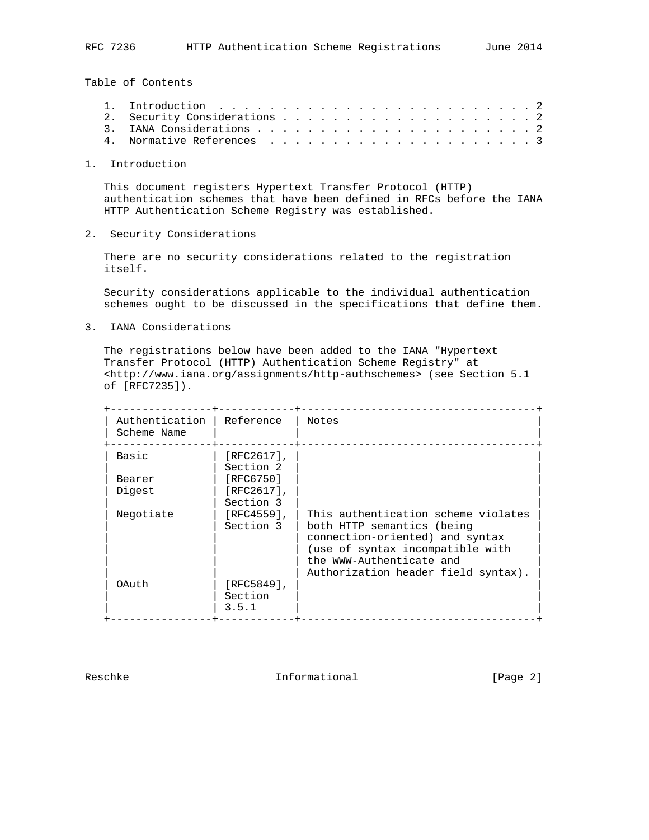Table of Contents

1. Introduction

 This document registers Hypertext Transfer Protocol (HTTP) authentication schemes that have been defined in RFCs before the IANA HTTP Authentication Scheme Registry was established.

2. Security Considerations

 There are no security considerations related to the registration itself.

 Security considerations applicable to the individual authentication schemes ought to be discussed in the specifications that define them.

3. IANA Considerations

 The registrations below have been added to the IANA "Hypertext Transfer Protocol (HTTP) Authentication Scheme Registry" at <http://www.iana.org/assignments/http-authschemes> (see Section 5.1 of [RFC7235]).

| Authentication<br>Scheme Name | Reference                         | Notes                                                                                                                                                                                                       |
|-------------------------------|-----------------------------------|-------------------------------------------------------------------------------------------------------------------------------------------------------------------------------------------------------------|
| Basic                         | $[RFC2617]$ ,<br>Section 2        |                                                                                                                                                                                                             |
| Bearer                        | [RFC6750]                         |                                                                                                                                                                                                             |
| Digest                        | $[RFC2617]$ ,<br>Section 3        |                                                                                                                                                                                                             |
| Negotiate                     | $[RTC4559]$ ,<br>Section 3        | This authentication scheme violates<br>both HTTP semantics (being<br>connection-oriented) and syntax<br>(use of syntax incompatible with<br>the WWW-Authenticate and<br>Authorization header field syntax). |
| OAuth                         | $[RFC5849]$ ,<br>Section<br>3.5.1 |                                                                                                                                                                                                             |

Reschke Informational [Page 2]